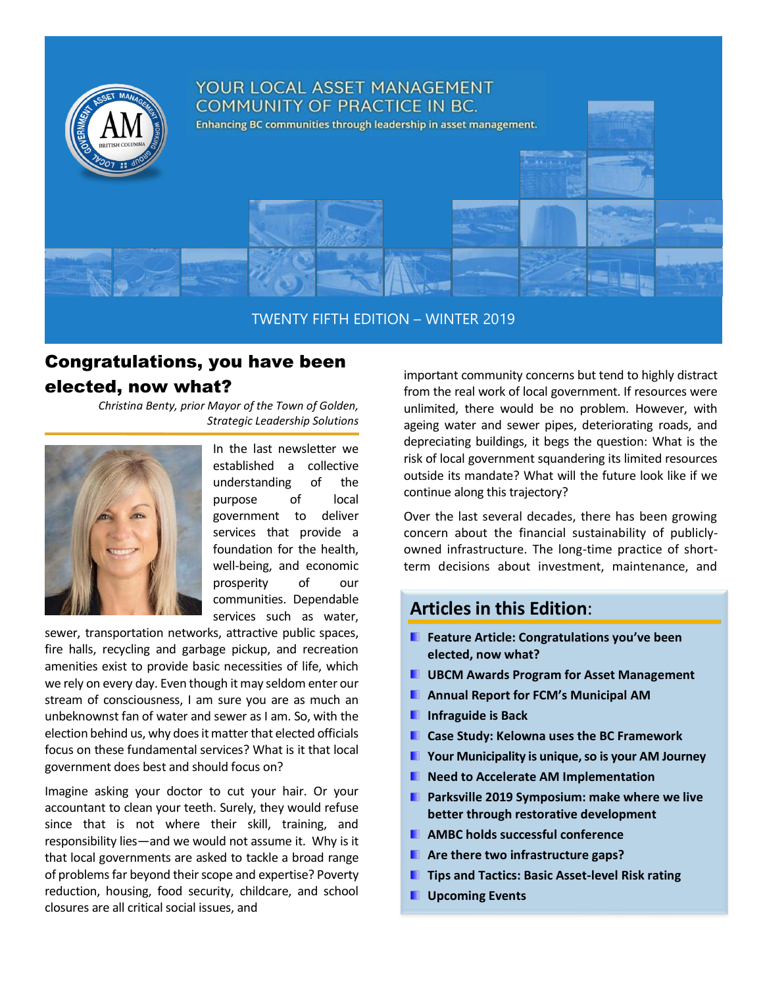

TWENTY FIFTH EDITION – WINTER 2019

# Congratulations, you have been elected, now what?

*Christina Benty, prior Mayor of the Town of Golden, Strategic Leadership Solutions*



In the last newsletter we established a collective understanding of the purpose of local government to deliver services that provide a foundation for the health, well-being, and economic prosperity of our communities. Dependable services such as water,

sewer, transportation networks, attractive public spaces, fire halls, recycling and garbage pickup, and recreation amenities exist to provide basic necessities of life, which we rely on every day. Even though it may seldom enter our stream of consciousness, I am sure you are as much an unbeknownst fan of water and sewer as I am. So, with the election behind us, why does it matter that elected officials focus on these fundamental services? What is it that local government does best and should focus on?

Imagine asking your doctor to cut your hair. Or your accountant to clean your teeth. Surely, they would refuse since that is not where their skill, training, and responsibility lies—and we would not assume it. Why is it that local governments are asked to tackle a broad range of problems far beyond their scope and expertise? Poverty reduction, housing, food security, childcare, and school closures are all critical social issues, and

important community concerns but tend to highly distract from the real work of local government. If resources were unlimited, there would be no problem. However, with ageing water and sewer pipes, deteriorating roads, and depreciating buildings, it begs the question: What is the risk of local government squandering its limited resources outside its mandate? What will the future look like if we continue along this trajectory?

Over the last several decades, there has been growing concern about the financial sustainability of publiclyowned infrastructure. The long-time practice of shortterm decisions about investment, maintenance, and

### **Articles in this Edition**:

- **Feature Article: Congratulations you've been elected, now what?**
- **UBCM Awards Program for Asset Management**
- **Annual Report for FCM's Municipal AM**
- **Infraguide is Back**
- **Case Study: Kelowna uses the BC Framework**
- **Your Municipality is unique, so is your AM Journey**
- **Need to Accelerate AM Implementation**
- **Parksville 2019 Symposium: make where we live better through restorative development**
- **AMBC holds successful conference**
- **Are there two infrastructure gaps?**
- **Tips and Tactics: Basic Asset-level Risk rating**
- **L** Upcoming Events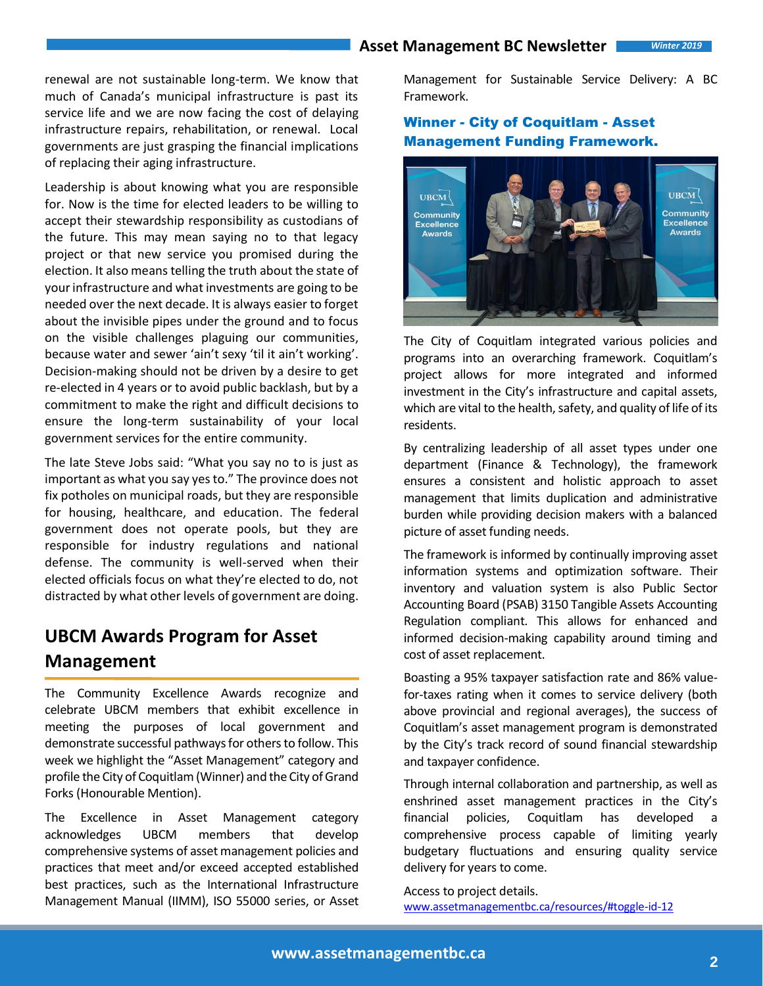renewal are not sustainable long-term. We know that much of Canada's municipal infrastructure is past its service life and we are now facing the cost of delaying infrastructure repairs, rehabilitation, or renewal. Local governments are just grasping the financial implications of replacing their aging infrastructure.

Leadership is about knowing what you are responsible for. Now is the time for elected leaders to be willing to accept their stewardship responsibility as custodians of the future. This may mean saying no to that legacy project or that new service you promised during the election. It also means telling the truth about the state of your infrastructure and what investments are going to be needed over the next decade. It is always easier to forget about the invisible pipes under the ground and to focus on the visible challenges plaguing our communities, because water and sewer 'ain't sexy 'til it ain't working'. Decision-making should not be driven by a desire to get re-elected in 4 years or to avoid public backlash, but by a commitment to make the right and difficult decisions to ensure the long-term sustainability of your local government services for the entire community.

The late Steve Jobs said: "What you say no to is just as important as what you say yes to." The province does not fix potholes on municipal roads, but they are responsible for housing, healthcare, and education. The federal government does not operate pools, but they are responsible for industry regulations and national defense. The community is well-served when their elected officials focus on what they're elected to do, not distracted by what other levels of government are doing.

# **UBCM Awards Program for Asset Management**

The Community Excellence Awards recognize and celebrate UBCM members that exhibit excellence in meeting the purposes of local government and demonstrate successful pathways for others to follow. This week we highlight the "Asset Management" category and profile the City of Coquitlam (Winner) and the City of Grand Forks (Honourable Mention).

The Excellence in Asset Management category acknowledges UBCM members that develop comprehensive systems of asset management policies and practices that meet and/or exceed accepted established best practices, such as the International Infrastructure Management Manual (IIMM), ISO 55000 series, or Asset Management for Sustainable Service Delivery: A BC Framework.

### Winner - City of Coquitlam - Asset Management Funding Framework.



The City of Coquitlam integrated various policies and programs into an overarching framework. Coquitlam's project allows for more integrated and informed investment in the City's infrastructure and capital assets, which are vital to the health, safety, and quality of life of its residents.

By centralizing leadership of all asset types under one department (Finance & Technology), the framework ensures a consistent and holistic approach to asset management that limits duplication and administrative burden while providing decision makers with a balanced picture of asset funding needs.

The framework is informed by continually improving asset information systems and optimization software. Their inventory and valuation system is also Public Sector Accounting Board (PSAB) 3150 Tangible Assets Accounting Regulation compliant. This allows for enhanced and informed decision-making capability around timing and cost of asset replacement.

Boasting a 95% taxpayer satisfaction rate and 86% valuefor-taxes rating when it comes to service delivery (both above provincial and regional averages), the success of Coquitlam's asset management program is demonstrated by the City's track record of sound financial stewardship and taxpayer confidence.

Through internal collaboration and partnership, as well as enshrined asset management practices in the City's financial policies, Coquitlam has developed comprehensive process capable of limiting yearly budgetary fluctuations and ensuring quality service delivery for years to come.

Access to project details. [www.assetmanagementbc.ca/resources/#toggle-id-12](http://www.assetmanagementbc.ca/resources/#toggle-id-12)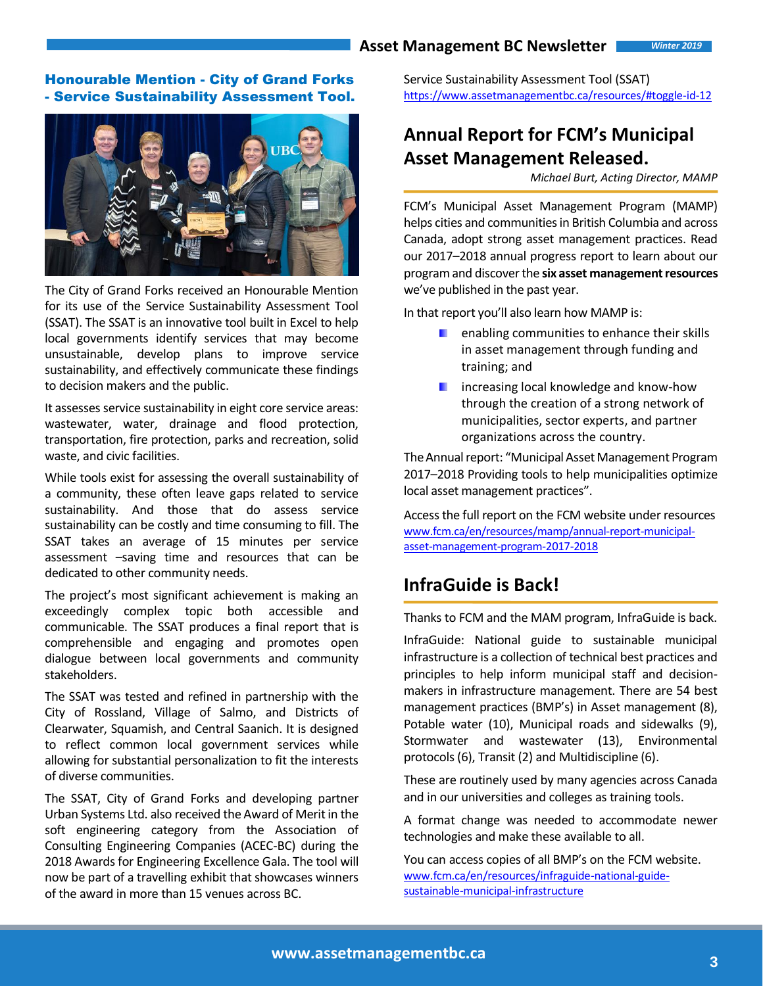### Honourable Mention - City of Grand Forks - Service Sustainability Assessment Tool.



The City of Grand Forks received an Honourable Mention for its use of the Service Sustainability Assessment Tool (SSAT). The SSAT is an innovative tool built in Excel to help local governments identify services that may become unsustainable, develop plans to improve service sustainability, and effectively communicate these findings to decision makers and the public.

It assesses service sustainability in eight core service areas: wastewater, water, drainage and flood protection, transportation, fire protection, parks and recreation, solid waste, and civic facilities.

While tools exist for assessing the overall sustainability of a community, these often leave gaps related to service sustainability. And those that do assess service sustainability can be costly and time consuming to fill. The SSAT takes an average of 15 minutes per service assessment –saving time and resources that can be dedicated to other community needs.

The project's most significant achievement is making an exceedingly complex topic both accessible and communicable. The SSAT produces a final report that is comprehensible and engaging and promotes open dialogue between local governments and community stakeholders.

The SSAT was tested and refined in partnership with the City of Rossland, Village of Salmo, and Districts of Clearwater, Squamish, and Central Saanich. It is designed to reflect common local government services while allowing for substantial personalization to fit the interests of diverse communities.

The SSAT, City of Grand Forks and developing partner Urban Systems Ltd. also received the Award of Merit in the soft engineering category from the Association of Consulting Engineering Companies (ACEC-BC) during the 2018 Awards for Engineering Excellence Gala. The tool will now be part of a travelling exhibit that showcases winners of the award in more than 15 venues across BC.

Service Sustainability Assessment Tool (SSAT) <https://www.assetmanagementbc.ca/resources/#toggle-id-12>

# **Annual Report for FCM's Municipal Asset Management Released.**

*Michael Burt, Acting Director, MAMP*

FCM's Municipal Asset Management Program (MAMP) helps cities and communities in British Columbia and across Canada, adopt strong asset management practices. Read our 2017–2018 annual progress report to learn about our program and discover the **six asset management resources** we've published in the past year.

In that report you'll also learn how MAMP is:

- $\blacksquare$  enabling communities to enhance their skills in asset management through funding and training; and
- **F** increasing local knowledge and know-how through the creation of a strong network of municipalities, sector experts, and partner organizations across the country.

The Annual report: "Municipal Asset Management Program 2017–2018 Providing tools to help municipalities optimize local asset management practices".

Access the full report on the FCM website under resources [www.fcm.ca/en/resources/mamp/annual-report-municipal](http://www.fcm.ca/en/resources/mamp/annual-report-municipal-asset-management-program-2017-2018)[asset-management-program-2017-2018](http://www.fcm.ca/en/resources/mamp/annual-report-municipal-asset-management-program-2017-2018)

# **InfraGuide is Back!**

Thanks to FCM and the MAM program, InfraGuide is back.

InfraGuide: National guide to sustainable municipal infrastructure is a collection of technical best practices and principles to help inform municipal staff and decisionmakers in infrastructure management. There are 54 best management practices (BMP's) in Asset management (8), Potable water (10), Municipal roads and sidewalks (9), Stormwater and wastewater (13), Environmental protocols (6), Transit (2) and Multidiscipline (6).

These are routinely used by many agencies across Canada and in our universities and colleges as training tools.

A format change was needed to accommodate newer technologies and make these available to all.

You can access copies of all BMP's on the FCM website. [www.fcm.ca/en/resources/infraguide-national-guide](http://www.fcm.ca/en/resources/infraguide-national-guide-sustainable-municipal-infrastructure)[sustainable-municipal-infrastructure](http://www.fcm.ca/en/resources/infraguide-national-guide-sustainable-municipal-infrastructure)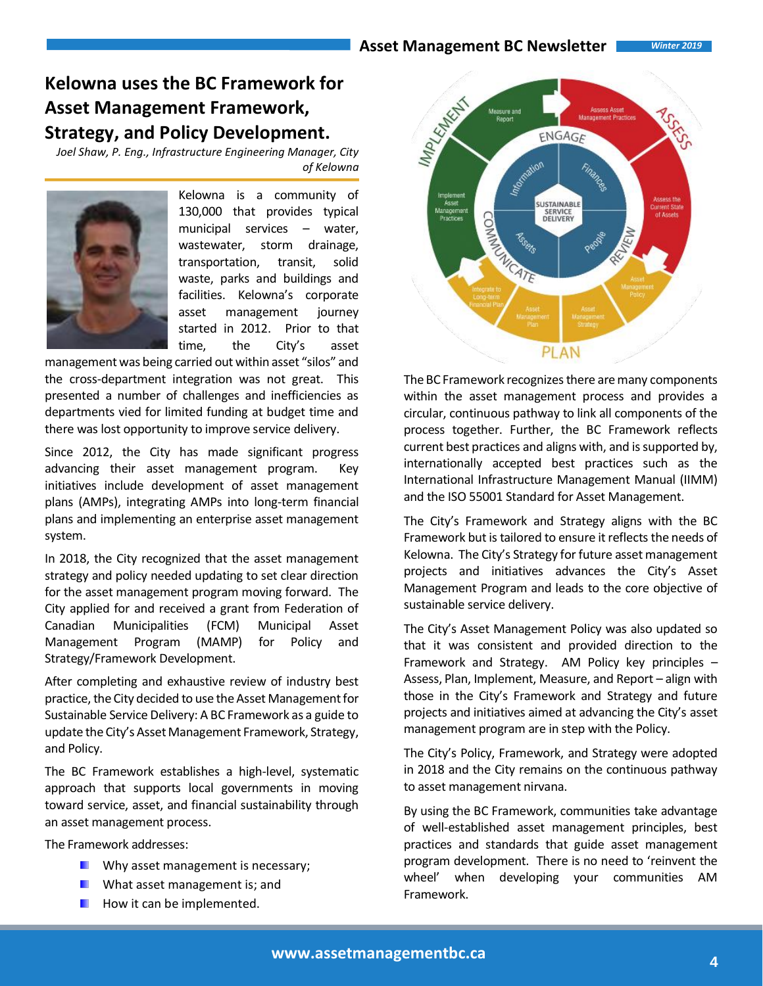# **Kelowna uses the BC Framework for Asset Management Framework, Strategy, and Policy Development.**

*Joel Shaw, P. Eng., Infrastructure Engineering Manager, City of Kelowna*



Kelowna is a community of 130,000 that provides typical municipal services – water, wastewater, storm drainage, transportation, transit, solid waste, parks and buildings and facilities. Kelowna's corporate asset management journey started in 2012. Prior to that time, the City's asset

management was being carried out within asset "silos" and the cross-department integration was not great. This presented a number of challenges and inefficiencies as departments vied for limited funding at budget time and there was lost opportunity to improve service delivery.

Since 2012, the City has made significant progress advancing their asset management program. Key initiatives include development of asset management plans (AMPs), integrating AMPs into long-term financial plans and implementing an enterprise asset management system.

In 2018, the City recognized that the asset management strategy and policy needed updating to set clear direction for the asset management program moving forward. The City applied for and received a grant from Federation of Canadian Municipalities (FCM) Municipal Asset Management Program (MAMP) for Policy and Strategy/Framework Development.

After completing and exhaustive review of industry best practice, the City decided to use the Asset Management for Sustainable Service Delivery: A BC Framework as a guide to update the City's Asset Management Framework, Strategy, and Policy.

The BC Framework establishes a high-level, systematic approach that supports local governments in moving toward service, asset, and financial sustainability through an asset management process.

The Framework addresses:

- **Now Why asset management is necessary;**
- What asset management is; and
- How it can be implemented.



The BC Framework recognizes there are many components within the asset management process and provides a circular, continuous pathway to link all components of the process together. Further, the BC Framework reflects current best practices and aligns with, and is supported by, internationally accepted best practices such as the International Infrastructure Management Manual (IIMM) and the ISO 55001 Standard for Asset Management.

The City's Framework and Strategy aligns with the BC Framework but is tailored to ensure it reflects the needs of Kelowna. The City's Strategy for future asset management projects and initiatives advances the City's Asset Management Program and leads to the core objective of sustainable service delivery.

The City's Asset Management Policy was also updated so that it was consistent and provided direction to the Framework and Strategy. AM Policy key principles – Assess, Plan, Implement, Measure, and Report – align with those in the City's Framework and Strategy and future projects and initiatives aimed at advancing the City's asset management program are in step with the Policy.

The City's Policy, Framework, and Strategy were adopted in 2018 and the City remains on the continuous pathway to asset management nirvana.

By using the BC Framework, communities take advantage of well-established asset management principles, best practices and standards that guide asset management program development. There is no need to 'reinvent the wheel' when developing your communities AM Framework.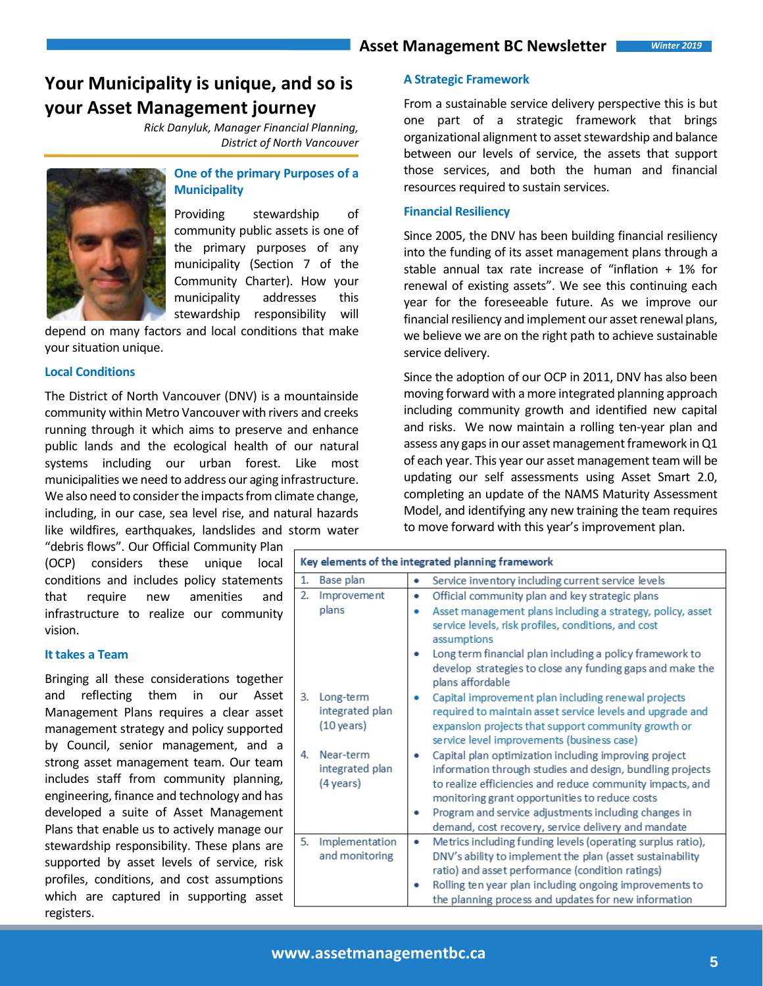# **Your Municipality is unique, and so is your Asset Management journey**

*Rick Danyluk, Manager Financial Planning, District of North Vancouver*



### **One of the primary Purposes of a Municipality**

Providing stewardship of community public assets is one of the primary purposes of any municipality [\(Section 7 of the](http://www.bclaws.ca/civix/document/id/complete/statreg/03026_02#section7)  [Community Charter\)](http://www.bclaws.ca/civix/document/id/complete/statreg/03026_02#section7). How your municipality addresses this stewardship responsibility will

depend on many factors and local conditions that make your situation unique.

#### **Local Conditions**

The District of North Vancouver (DNV) is a mountainside community within Metro Vancouver with rivers and creeks running through it which aims to preserve and enhance public lands and the ecological health of our natural systems including our urban forest. Like most municipalities we need to address our aging infrastructure. We also need to consider the impacts from climate change, including, in our case, sea level rise, and natural hazards like wildfires, earthquakes, landslides and storm water

"debris flows". Our Official Community Plan (OCP) considers these unique local conditions and includes policy statements that require new amenities and infrastructure to realize our community vision.

#### **It takes a Team**

Bringing all these considerations together and reflecting them in our Asset Management Plans requires a clear asset management strategy and policy supported by Council, senior management, and a strong asset management team. Our team includes staff from community planning, engineering, finance and technology and has developed a suite of Asset Management Plans that enable us to actively manage our stewardship responsibility. These plans are supported by asset levels of service, risk profiles, conditions, and cost assumptions which are captured in supporting asset registers.

#### **A Strategic Framework**

From a sustainable service delivery perspective this is but one part of a strategic framework that brings organizational alignment to asset stewardship and balance between our levels of service, the assets that support those services, and both the human and financial resources required to sustain services.

#### **Financial Resiliency**

Since 2005, the DNV has been building financial resiliency into the funding of its asset management plans through a stable annual tax rate increase of "inflation + 1% for renewal of existing assets". We see this continuing each year for the foreseeable future. As we improve our financial resiliency and implement our asset renewal plans, we believe we are on the right path to achieve sustainable service delivery.

Since the adoption of our OCP in 2011, DNV has also been moving forward with a more integrated planning approach including community growth and identified new capital and risks. We now maintain a rolling ten-year plan and assess any gaps in our asset management framework in Q1 of each year. This year our asset management team will be updating our self assessments using Asset Smart 2.0, completing an update of the NAMS Maturity Assessment Model, and identifying any new training the team requires to move forward with this year's improvement plan.

| Key elements of the integrated planning framework |                                            |   |                                                                                                                                                                                                                                                                                                                                                  |  |  |
|---------------------------------------------------|--------------------------------------------|---|--------------------------------------------------------------------------------------------------------------------------------------------------------------------------------------------------------------------------------------------------------------------------------------------------------------------------------------------------|--|--|
| 1.                                                | Base plan                                  | ٠ | Service inventory including current service levels                                                                                                                                                                                                                                                                                               |  |  |
| 2.                                                | Improvement                                | ٠ | Official community plan and key strategic plans                                                                                                                                                                                                                                                                                                  |  |  |
|                                                   | plans                                      | ۰ | Asset management plans including a strategy, policy, asset<br>service levels, risk profiles, conditions, and cost<br>assumptions                                                                                                                                                                                                                 |  |  |
|                                                   |                                            | ۰ | Long term financial plan including a policy framework to                                                                                                                                                                                                                                                                                         |  |  |
|                                                   |                                            |   | develop strategies to close any funding gaps and make the<br>plans affordable                                                                                                                                                                                                                                                                    |  |  |
| 3.                                                | Long-term<br>integrated plan<br>(10 years) | ٠ | Capital improvement plan including renewal projects<br>required to maintain asset service levels and upgrade and<br>expansion projects that support community growth or<br>service level improvements (business case)                                                                                                                            |  |  |
| 4.                                                | Near-term<br>integrated plan<br>(4 years)  |   | Capital plan optimization including improving project<br>information through studies and design, bundling projects<br>to realize efficiencies and reduce community impacts, and<br>monitoring grant opportunities to reduce costs<br>Program and service adjustments including changes in<br>demand, cost recovery, service delivery and mandate |  |  |
| 5.                                                | Implementation                             | ۰ | Metrics including funding levels (operating surplus ratio),                                                                                                                                                                                                                                                                                      |  |  |
|                                                   | and monitoring                             |   | DNV's ability to implement the plan (asset sustainability                                                                                                                                                                                                                                                                                        |  |  |
|                                                   |                                            |   | ratio) and asset performance (condition ratings)                                                                                                                                                                                                                                                                                                 |  |  |
|                                                   |                                            |   | Rolling ten year plan including ongoing improvements to                                                                                                                                                                                                                                                                                          |  |  |
|                                                   |                                            |   | the planning process and updates for new information                                                                                                                                                                                                                                                                                             |  |  |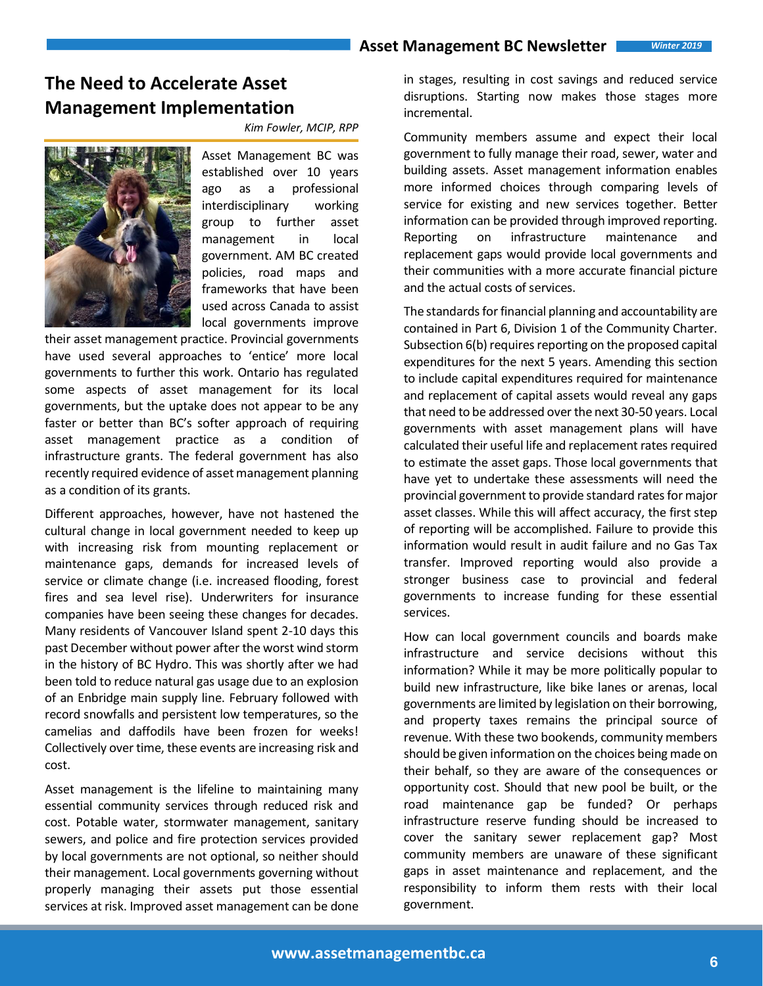# **The Need to Accelerate Asset Management Implementation**

*Kim Fowler, MCIP, RPP*



Asset Management BC was established over 10 years ago as a professional interdisciplinary working group to further asset management in local government. AM BC created policies, road maps and frameworks that have been used across Canada to assist local governments improve

their asset management practice. Provincial governments have used several approaches to 'entice' more local governments to further this work. Ontario has regulated some aspects of asset management for its local governments, but the uptake does not appear to be any faster or better than BC's softer approach of requiring asset management practice as a condition of infrastructure grants. The federal government has also recently required evidence of asset management planning as a condition of its grants.

Different approaches, however, have not hastened the cultural change in local government needed to keep up with increasing risk from mounting replacement or maintenance gaps, demands for increased levels of service or climate change (i.e. increased flooding, forest fires and sea level rise). Underwriters for insurance companies have been seeing these changes for decades. Many residents of Vancouver Island spent 2-10 days this past December without power after the worst wind storm in the history of BC Hydro. This was shortly after we had been told to reduce natural gas usage due to an explosion of an Enbridge main supply line. February followed with record snowfalls and persistent low temperatures, so the camelias and daffodils have been frozen for weeks! Collectively over time, these events are increasing risk and cost.

Asset management is the lifeline to maintaining many essential community services through reduced risk and cost. Potable water, stormwater management, sanitary sewers, and police and fire protection services provided by local governments are not optional, so neither should their management. Local governments governing without properly managing their assets put those essential services at risk. Improved asset management can be done in stages, resulting in cost savings and reduced service disruptions. Starting now makes those stages more incremental.

Community members assume and expect their local government to fully manage their road, sewer, water and building assets. Asset management information enables more informed choices through comparing levels of service for existing and new services together. Better information can be provided through improved reporting. Reporting on infrastructure maintenance and replacement gaps would provide local governments and their communities with a more accurate financial picture and the actual costs of services.

The standards for financial planning and accountability are contained in Part 6, Division 1 of the Community Charter. Subsection 6(b) requires reporting on the proposed capital expenditures for the next 5 years. Amending this section to include capital expenditures required for maintenance and replacement of capital assets would reveal any gaps that need to be addressed over the next 30-50 years. Local governments with asset management plans will have calculated their useful life and replacement rates required to estimate the asset gaps. Those local governments that have yet to undertake these assessments will need the provincial government to provide standard rates for major asset classes. While this will affect accuracy, the first step of reporting will be accomplished. Failure to provide this information would result in audit failure and no Gas Tax transfer. Improved reporting would also provide a stronger business case to provincial and federal governments to increase funding for these essential services.

How can local government councils and boards make infrastructure and service decisions without this information? While it may be more politically popular to build new infrastructure, like bike lanes or arenas, local governments are limited by legislation on their borrowing, and property taxes remains the principal source of revenue. With these two bookends, community members should be given information on the choices being made on their behalf, so they are aware of the consequences or opportunity cost. Should that new pool be built, or the road maintenance gap be funded? Or perhaps infrastructure reserve funding should be increased to cover the sanitary sewer replacement gap? Most community members are unaware of these significant gaps in asset maintenance and replacement, and the responsibility to inform them rests with their local government.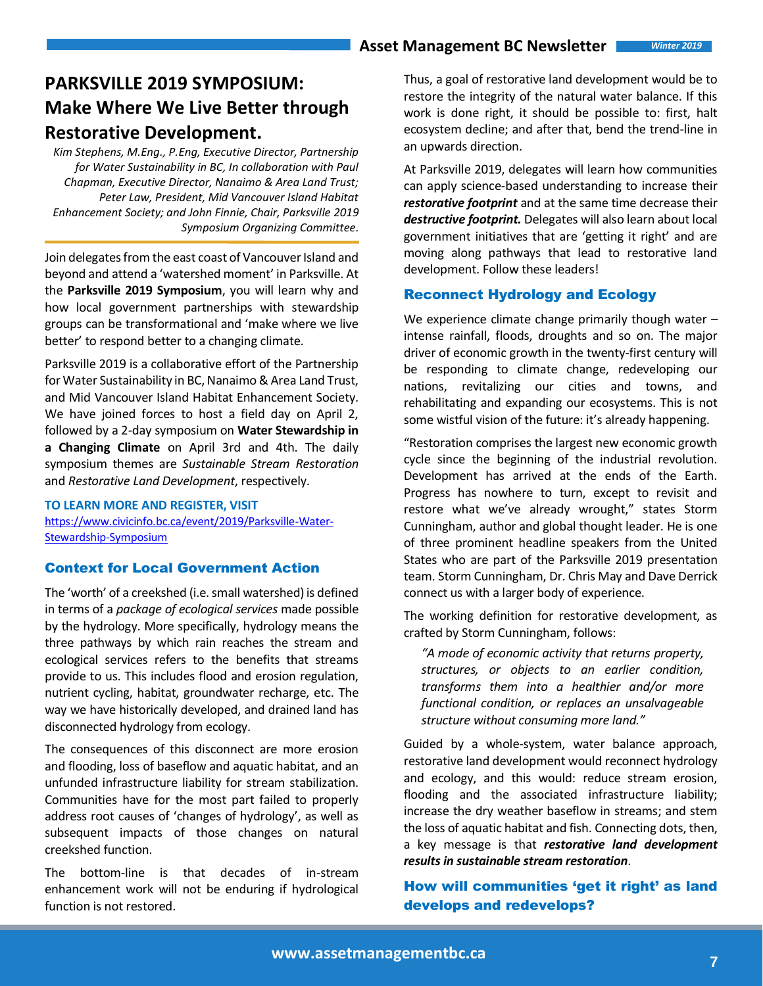# **PARKSVILLE 2019 SYMPOSIUM: Make Where We Live Better through Restorative Development.**

*Kim Stephens, M.Eng., P.Eng, Executive Director, Partnership for Water Sustainability in BC, In collaboration with Paul Chapman, Executive Director, Nanaimo & Area Land Trust; Peter Law, President, Mid Vancouver Island Habitat Enhancement Society; and John Finnie, Chair, Parksville 2019 Symposium Organizing Committee.*

Join delegates from the east coast of Vancouver Island and beyond and attend a 'watershed moment' in Parksville. At the **Parksville 2019 Symposium**, you will learn why and how local government partnerships with stewardship groups can be transformational and 'make where we live better' to respond better to a changing climate.

Parksville 2019 is a collaborative effort of the Partnership for Water Sustainability in BC, Nanaimo & Area Land Trust, and Mid Vancouver Island Habitat Enhancement Society. We have joined forces to host a field day on April 2, followed by a 2-day symposium on **Water Stewardship in a Changing Climate** on April 3rd and 4th. The daily symposium themes are *Sustainable Stream Restoration* and *Restorative Land Development*, respectively.

### **TO LEARN MORE AND REGISTER, VISIT**

[https://www.civicinfo.bc.ca/event/2019/Parksville-Water-](https://www.civicinfo.bc.ca/event/2019/Parksville-Water-Stewardship-Symposium)[Stewardship-Symposium](https://www.civicinfo.bc.ca/event/2019/Parksville-Water-Stewardship-Symposium) 

### Context for Local Government Action

The 'worth' of a creekshed (i.e. small watershed) is defined in terms of a *package of ecological services* made possible by the hydrology. More specifically, hydrology means the three pathways by which rain reaches the stream and ecological services refers to the benefits that streams provide to us. This includes flood and erosion regulation, nutrient cycling, habitat, groundwater recharge, etc. The way we have historically developed, and drained land has disconnected hydrology from ecology.

The consequences of this disconnect are more erosion and flooding, loss of baseflow and aquatic habitat, and an unfunded infrastructure liability for stream stabilization. Communities have for the most part failed to properly address root causes of 'changes of hydrology', as well as subsequent impacts of those changes on natural creekshed function.

The bottom-line is that decades of in-stream enhancement work will not be enduring if hydrological function is not restored.

Thus, a goal of restorative land development would be to restore the integrity of the natural water balance. If this work is done right, it should be possible to: first, halt ecosystem decline; and after that, bend the trend-line in an upwards direction.

At Parksville 2019, delegates will learn how communities can apply science-based understanding to increase their *restorative footprint* and at the same time decrease their *destructive footprint.* Delegates will also learn about local government initiatives that are 'getting it right' and are moving along pathways that lead to restorative land development. Follow these leaders!

### Reconnect Hydrology and Ecology

We experience climate change primarily though water – intense rainfall, floods, droughts and so on. The major driver of economic growth in the twenty-first century will be responding to climate change, redeveloping our nations, revitalizing our cities and towns, and rehabilitating and expanding our ecosystems. This is not some wistful vision of the future: it's already happening.

"Restoration comprises the largest new economic growth cycle since the beginning of the industrial revolution. Development has arrived at the ends of the Earth. Progress has nowhere to turn, except to revisit and restore what we've already wrought," states Storm Cunningham, author and global thought leader. He is one of three prominent headline speakers from the United States who are part of the Parksville 2019 presentation team. Storm Cunningham, Dr. Chris May and Dave Derrick connect us with a larger body of experience.

The working definition for restorative development, as crafted by Storm Cunningham, follows:

*"A mode of economic activity that returns property, structures, or objects to an earlier condition, transforms them into a healthier and/or more functional condition, or replaces an unsalvageable structure without consuming more land."*

Guided by a whole-system, water balance approach, restorative land development would reconnect hydrology and ecology, and this would: reduce stream erosion, flooding and the associated infrastructure liability; increase the dry weather baseflow in streams; and stem the loss of aquatic habitat and fish. Connecting dots, then, a key message is that *restorative land development results in sustainable stream restoration*.

### How will communities 'get it right' as land develops and redevelops?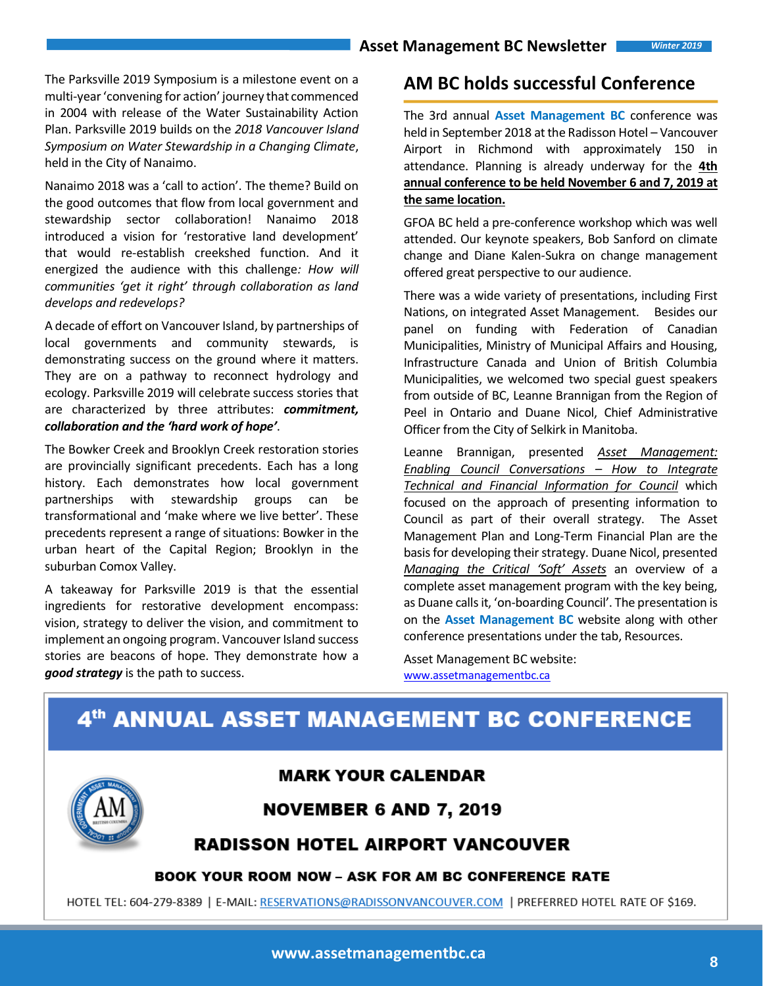l

The Parksville 2019 Symposium is a milestone event on a multi-year 'convening for action' journey that commenced in 2004 with release of the Water Sustainability Action Plan. Parksville 2019 builds on the *2018 Vancouver Island Symposium on Water Stewardship in a Changing Climate*, held in the City of Nanaimo.

Nanaimo 2018 was a 'call to action'. The theme? Build on the good outcomes that flow from local government and stewardship sector collaboration! Nanaimo 2018 introduced a vision for 'restorative land development' that would re-establish creekshed function. And it energized the audience with this challenge*: How will communities 'get it right' through collaboration as land develops and redevelops?*

A decade of effort on Vancouver Island, by partnerships of local governments and community stewards, is demonstrating success on the ground where it matters. They are on a pathway to reconnect hydrology and ecology. Parksville 2019 will celebrate success stories that are characterized by three attributes: *commitment, collaboration and the 'hard work of hope'*.

The Bowker Creek and Brooklyn Creek restoration stories are provincially significant precedents. Each has a long history. Each demonstrates how local government partnerships with stewardship groups can be transformational and 'make where we live better'. These precedents represent a range of situations: Bowker in the urban heart of the Capital Region; Brooklyn in the suburban Comox Valley.

A takeaway for Parksville 2019 is that the essential ingredients for restorative development encompass: vision, strategy to deliver the vision, and commitment to implement an ongoing program. Vancouver Island success stories are beacons of hope. They demonstrate how a *good strategy* is the path to success.

### **AM BC holds successful Conference**

The 3rd annual **Asset Management BC** conference was held in September 2018 at the Radisson Hotel – Vancouver Airport in Richmond with approximately 150 in attendance. Planning is already underway for the **4th annual conference to be held November 6 and 7, 2019 at the same location.**

GFOA BC held a pre-conference workshop which was well attended. Our keynote speakers, Bob Sanford on climate change and Diane Kalen-Sukra on change management offered great perspective to our audience.

There was a wide variety of presentations, including First Nations, on integrated Asset Management. Besides our panel on funding with Federation of Canadian Municipalities, Ministry of Municipal Affairs and Housing, Infrastructure Canada and Union of British Columbia Municipalities, we welcomed two special guest speakers from outside of BC, Leanne Brannigan from the Region of Peel in Ontario and Duane Nicol, Chief Administrative Officer from the City of Selkirk in Manitoba.

Leanne Brannigan, presented *Asset Management: Enabling Council Conversations – How to Integrate Technical and Financial Information for Council* which focused on the approach of presenting information to Council as part of their overall strategy. The Asset Management Plan and Long-Term Financial Plan are the basis for developing their strategy. Duane Nicol, presented *Managing the Critical 'Soft' Assets* an overview of a complete asset management program with the key being, as Duane calls it, 'on-boarding Council'. The presentation is on the **Asset Management BC** website along with other conference presentations under the tab, Resources.

Asset Management BC website: [www.assetmanagementbc.ca](http://www.assetmanagementbc.ca/)

# 4th ANNUAL ASSET MANAGEMENT BC CONFERENCE



**www.assetmanagementbc.ca <sup>8</sup>**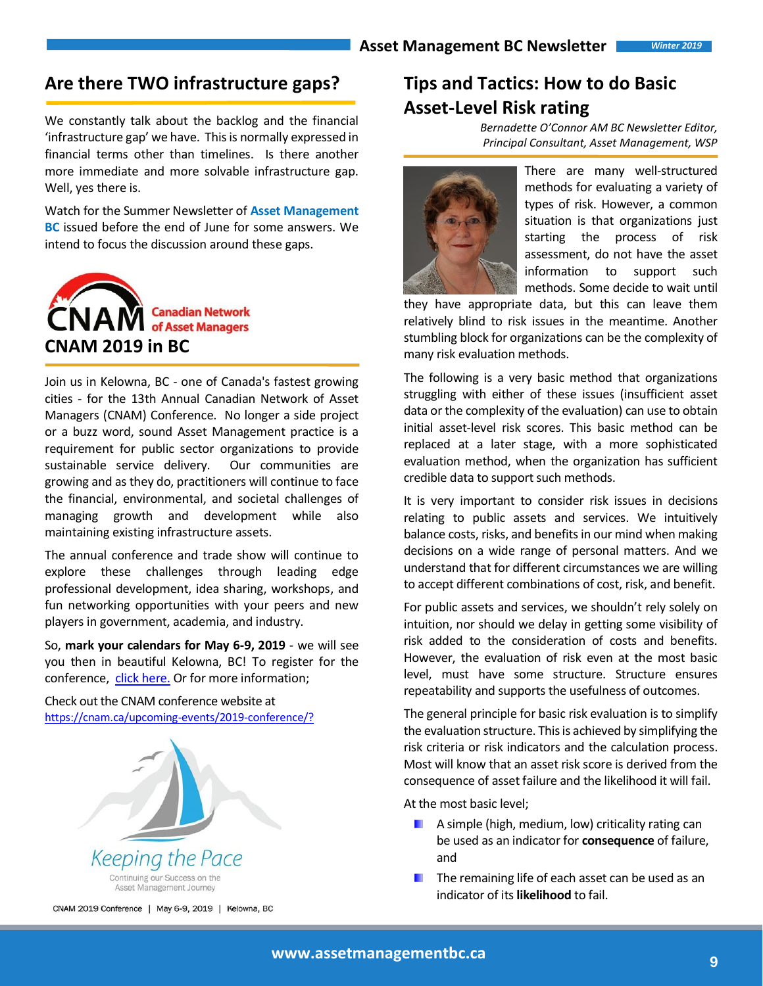## **Are there TWO infrastructure gaps?**

We constantly talk about the backlog and the financial 'infrastructure gap' we have. This is normally expressed in financial terms other than timelines. Is there another more immediate and more solvable infrastructure gap. Well, yes there is.

Watch for the Summer Newsletter of **Asset Management BC** issued before the end of June for some answers. We intend to focus the discussion around these gaps.



Join us in Kelowna, BC - one of Canada's fastest growing cities - for the 13th Annual Canadian Network of Asset Managers (CNAM) Conference. No longer a side project or a buzz word, sound Asset Management practice is a requirement for public sector organizations to provide sustainable service delivery. Our communities are growing and as they do, practitioners will continue to face the financial, environmental, and societal challenges of managing growth and development while also maintaining existing infrastructure assets.

The annual conference and trade show will continue to explore these challenges through leading edge professional development, idea sharing, workshops, and fun networking opportunities with your peers and new players in government, academia, and industry.

So, **mark your calendars for May 6-9, 2019** - we will see you then in beautiful Kelowna, BC! To register for the conference, [click here.](https://nam01.safelinks.protection.outlook.com/?url=https%3A%2F%2Fcnam.ca%2Fupcoming-events%2F2019-conference%2Fregistration%2F&data=02%7C01%7C%7Cd9a7deb121f242243c9008d67d8e5898%7C84df9e7fe9f640afb435aaaaaaaaaaaa%7C1%7C0%7C636834447652995989&sdata=Ba4nNhburaAJJqs3PMAwSSmWG8H8x1MaLX4hpS403MY%3D&reserved=0) Or for more information;

Check out the CNAM conference website at [https://cnam.ca/upcoming-events/2019-conference/?](https://cnam.ca/upcoming-events/2019-conference/)



# **Tips and Tactics: How to do Basic Asset-Level Risk rating**

*Bernadette O'Connor AM BC Newsletter Editor, Principal Consultant, Asset Management, WSP* 



There are many well-structured methods for evaluating a variety of types of risk. However, a common situation is that organizations just starting the process of risk assessment, do not have the asset information to support such methods. Some decide to wait until

they have appropriate data, but this can leave them relatively blind to risk issues in the meantime. Another stumbling block for organizations can be the complexity of many risk evaluation methods.

The following is a very basic method that organizations struggling with either of these issues (insufficient asset data or the complexity of the evaluation) can use to obtain initial asset-level risk scores. This basic method can be replaced at a later stage, with a more sophisticated evaluation method, when the organization has sufficient credible data to support such methods.

It is very important to consider risk issues in decisions relating to public assets and services. We intuitively balance costs, risks, and benefits in our mind when making decisions on a wide range of personal matters. And we understand that for different circumstances we are willing to accept different combinations of cost, risk, and benefit.

For public assets and services, we shouldn't rely solely on intuition, nor should we delay in getting some visibility of risk added to the consideration of costs and benefits. However, the evaluation of risk even at the most basic level, must have some structure. Structure ensures repeatability and supports the usefulness of outcomes.

The general principle for basic risk evaluation is to simplify the evaluation structure. This is achieved by simplifying the risk criteria or risk indicators and the calculation process. Most will know that an asset risk score is derived from the consequence of asset failure and the likelihood it will fail.

At the most basic level;

- $\blacksquare$  A simple (high, medium, low) criticality rating can be used as an indicator for **consequence** of failure, and
- ш The remaining life of each asset can be used as an indicator of its **likelihood** to fail.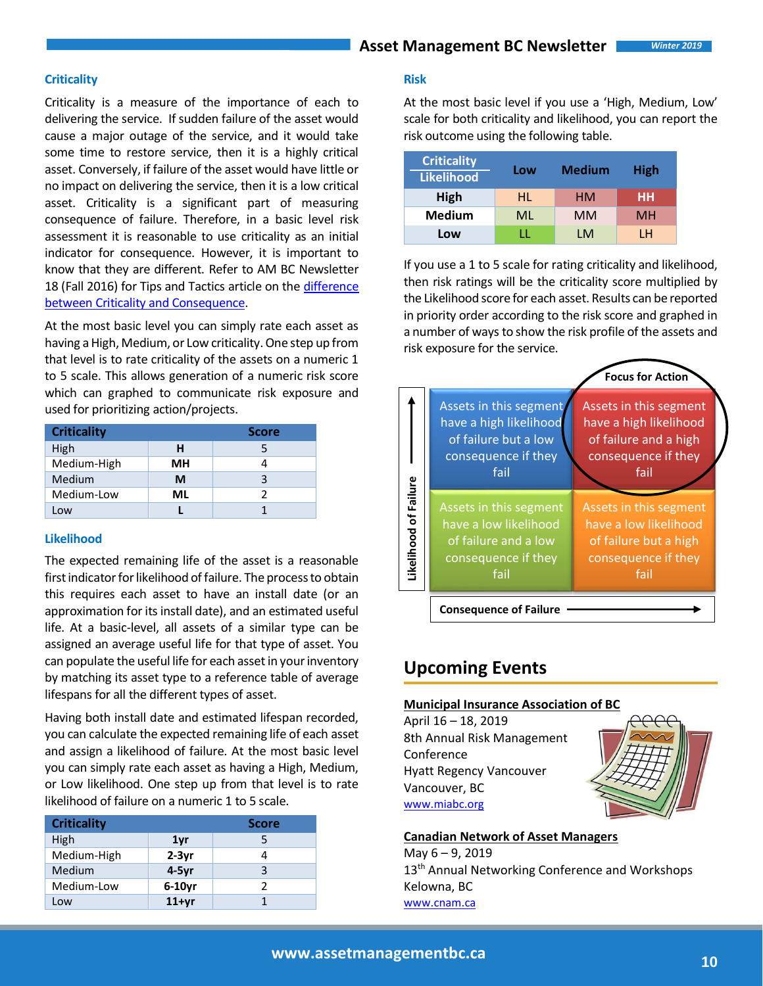### **Criticality**

Criticality is a measure of the importance of each to delivering the service. If sudden failure of the asset would cause a major outage of the service, and it would take some time to restore service, then it is a highly critical asset. Conversely, if failure of the asset would have little or no impact on delivering the service, then it is a low critical asset. Criticality is a significant part of measuring consequence of failure. Therefore, in a basic level risk assessment it is reasonable to use criticality as an initial indicator for consequence. However, it is important to know that they are different. Refer to AM BC Newsletter 18 (Fall 2016) for Tips and Tactics article on the difference [between Criticality and Consequence.](https://www.assetmanagementbc.ca/wp-content/uploads/AMBC_Newsletter_Issue_No._16-LGAMWG-February_2016-1.pdf)

At the most basic level you can simply rate each asset as having a High, Medium, or Low criticality. One step up from that level is to rate criticality of the assets on a numeric 1 to 5 scale. This allows generation of a numeric risk score which can graphed to communicate risk exposure and used for prioritizing action/projects.

| <b>Criticality</b> | <b>Score</b> |   |
|--------------------|--------------|---|
| High               | н            |   |
| Medium-High        | MН           |   |
| Medium             | М            | ς |
| Medium-Low         | МI           | 2 |
| Low                |              |   |

#### **Likelihood**

The expected remaining life of the asset is a reasonable first indicator for likelihood of failure. The process to obtain this requires each asset to have an install date (or an approximation for its install date), and an estimated useful life. At a basic-level, all assets of a similar type can be assigned an average useful life for that type of asset. You can populate the useful life for each asset in your inventory by matching its asset type to a reference table of average lifespans for all the different types of asset.

Having both install date and estimated lifespan recorded, you can calculate the expected remaining life of each asset and assign a likelihood of failure. At the most basic level you can simply rate each asset as having a High, Medium, or Low likelihood. One step up from that level is to rate likelihood of failure on a numeric 1 to 5 scale.

| <b>Criticality</b> |                 | <b>Score</b> |  |
|--------------------|-----------------|--------------|--|
| High               | 1 <sub>vr</sub> | 5            |  |
| Medium-High        | $2-3yr$         |              |  |
| Medium             | $4-5yr$         | 3            |  |
| Medium-Low         | $6-10$ yr       |              |  |
| Low                | $11+yr$         |              |  |

### **Risk**

At the most basic level if you use a 'High, Medium, Low' scale for both criticality and likelihood, you can report the risk outcome using the following table.

| <b>Criticality</b><br><b>Likelihood</b> | Low | <b>Medium</b> | <b>High</b> |
|-----------------------------------------|-----|---------------|-------------|
| High                                    | HL. | HМ            | нн          |
| <b>Medium</b>                           | ML  | <b>MM</b>     | MН          |
| Low                                     | U.  | I M           | ۱н          |

If you use a 1 to 5 scale for rating criticality and likelihood, then risk ratings will be the criticality score multiplied by the Likelihood score for each asset. Results can be reported in priority order according to the risk score and graphed in a number of ways to show the risk profile of the assets and risk exposure for the service.

|                       |                                                                                                         | <b>Focus for Action</b>                                                                                  |  |  |  |
|-----------------------|---------------------------------------------------------------------------------------------------------|----------------------------------------------------------------------------------------------------------|--|--|--|
|                       | Assets in this segment<br>have a high likelihood<br>of failure but a low<br>consequence if they<br>fail | Assets in this segment<br>have a high likelihood<br>of failure and a high<br>consequence if they<br>fail |  |  |  |
| Likelihood of Failure | Assets in this segment<br>have a low likelihood<br>of failure and a low<br>consequence if they<br>fail  | Assets in this segment<br>have a low likelihood<br>of failure but a high<br>consequence if they<br>fail  |  |  |  |
|                       | <b>Consequence of Failure</b>                                                                           |                                                                                                          |  |  |  |

## **Upcoming Events**

### **Municipal Insurance Association of BC**

April 16 – 18, 2019 8th Annual Risk Management Conference Hyatt Regency Vancouver Vancouver, BC [www.miabc.org](http://www.miabc.org/)



#### **Canadian Network of Asset Managers**

May 6 – 9, 2019 13<sup>th</sup> Annual Networking Conference and Workshops Kelowna, BC [www.cnam.ca](http://www.cnam.ca/)